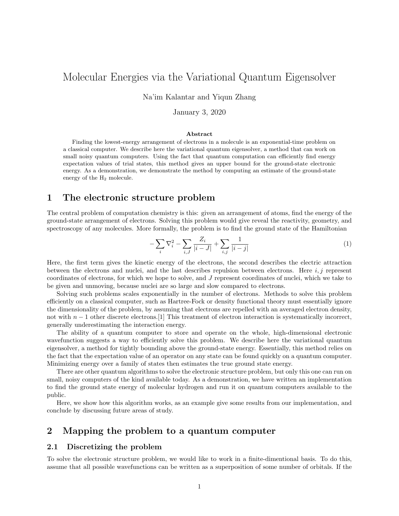# Molecular Energies via the Variational Quantum Eigensolver

Na'im Kalantar and Yiqun Zhang

January 3, 2020

#### Abstract

Finding the lowest-energy arrangement of electrons in a molecule is an exponential-time problem on a classical computer. We describe here the variational quantum eigensolver, a method that can work on small noisy quantum computers. Using the fact that quantum computation can efficiently find energy expectation values of trial states, this method gives an upper bound for the ground-state electronic energy. As a demonstration, we demonstrate the method by computing an estimate of the ground-state energy of the H<sup>2</sup> molecule.

# 1 The electronic structure problem

The central problem of computation chemistry is this: given an arrangement of atoms, find the energy of the ground-state arrangement of electrons. Solving this problem would give reveal the reactivity, geometry, and spectroscopy of any molecules. More formally, the problem is to find the ground state of the Hamiltonian

$$
-\sum_{i} \nabla_i^2 - \sum_{i,J} \frac{Z_i}{|i-J|} + \sum_{i,j} \frac{1}{|i-j|} \tag{1}
$$

Here, the first term gives the kinetic energy of the electrons, the second describes the electric attraction between the electrons and nuclei, and the last describes repulsion between electrons. Here  $i, j$  represent coordinates of electrons, for which we hope to solve, and J represent coordinates of nuclei, which we take to be given and unmoving, because nuclei are so large and slow compared to electrons.

Solving such problems scales exponentially in the number of electrons. Methods to solve this problem efficiently on a classical computer, such as Hartree-Fock or density functional theory must essentially ignore the dimensionality of the problem, by assuming that electrons are repelled with an averaged electron density, not with  $n-1$  other discrete electrons. [1] This treatment of electron interaction is systematically incorrect, generally underestimating the interaction energy.

The ability of a quantum computer to store and operate on the whole, high-dimensional electronic wavefunction suggests a way to efficiently solve this problem. We describe here the variational quantum eigensolver, a method for tightly bounding above the ground-state energy. Essentially, this method relies on the fact that the expectation value of an operator on any state can be found quickly on a quantum computer. Minimizing energy over a family of states then estimates the true ground state energy.

There are other quantum algorithms to solve the electronic structure problem, but only this one can run on small, noisy computers of the kind available today. As a demonstration, we have written an implementation to find the ground state energy of molecular hydrogen and run it on quantum computers available to the public.

Here, we show how this algorithm works, as an example give some results from our implementation, and conclude by discussing future areas of study.

# 2 Mapping the problem to a quantum computer

### 2.1 Discretizing the problem

To solve the electronic structure problem, we would like to work in a finite-dimentional basis. To do this, assume that all possible wavefunctions can be written as a superposition of some number of orbitals. If the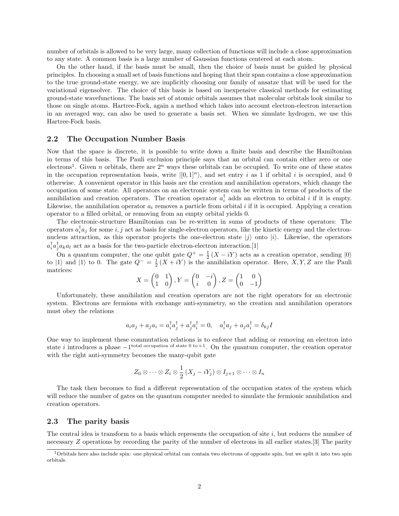number of orbitals is allowed to be very large, many collection of functions will include a close approximation to any state. A common basis is a large number of Gaussian functions centered at each atom.

On the other hand, if the basis must be small, then the choice of basis must be guided by physical principles. In choosing a small set of basis functions and hoping that their span contains a close approximation to the true ground-state energy, we are implicitly choosing our family of ansatze that will be used for the variational eigensolver. The choice of this basis is based on inexpensive classical methods for estimating ground-state wavefunctions. The basis set of atomic orbitals assumes that molecular orbitals look similar to those on single atoms. Hartree-Fock, again a method which takes into account electron-electron interaction in an averaged way, can also be used to generate a basis set. When we simulate hydrogen, we use this Hartree-Fock basis.

### 2.2 The Occupation Number Basis

Now that the space is discrete, it is possible to write down a finite basis and describe the Hamiltonian in terms of this basis. The Pauli exclusion principle says that an orbital can contain either zero or one electrons<sup>1</sup>. Given n orbitals, there are  $2^n$  ways these orbitals can be occupied. To write one of these states in the occupation representation basis, write  $|[0,1]^n\rangle$ , and set entry i as 1 if orbital i is occupied, and 0 otherwise. A convenient operator in this basis are the creation and annihilation operators, which change the occupation of some state. All operators on an electronic system can be written in terms of products of the annihilation and creation operators. The creation operator  $a_i^{\dagger}$  adds an electron to orbital i if it is empty. Likewise, the annihilation operator  $a_i$  removes a particle from orbital i if it is occupied. Applying a creation operator to a filled orbital, or removing from an empty orbital yields 0.

The electronic-structure Hamiltonian can be re-written in sums of products of these operators: The operators  $a_i^{\dagger} a_j$  for some i, j act as basis for single-electron operators, like the kinetic energy and the electronnucleus attraction, as this operator projects the one-electron state  $|j\rangle$  onto  $|i\rangle$ . Likewise, the operators  $a_i^{\dagger} a_j^{\dagger} a_k a_l$  act as a basis for the two-particle electron-electron interaction.[1]

On a quantum computer, the one qubit gate  $Q^+ = \frac{1}{2}(X - iY)$  acts as a creation operator, sending  $|0\rangle$ to |1) and |1) to 0. The gate  $Q^{-} = \frac{1}{2}(X + iY)$  is the annihilation operator. Here, X, Y, Z are the Pauli matrices:

$$
X = \begin{pmatrix} 0 & 1 \\ 1 & 0 \end{pmatrix}, Y = \begin{pmatrix} 0 & -i \\ i & 0 \end{pmatrix}, Z = \begin{pmatrix} 1 & 0 \\ 0 & -1 \end{pmatrix}
$$

Unfortunately, these annihilation and creation operators are not the right operators for an electronic system. Electrons are fermions with exchange anti-symmetry, so the creation and annihilation operators must obey the relations

$$
a_i a_j + a_j a_i = a_i^{\dagger} a_j^{\dagger} + a_j^{\dagger} a_i^{\dagger} = 0, \quad a_i^{\dagger} a_j + a_j a_i^{\dagger} = \delta_{kj} I
$$

One way to implement these commutation relations is to enforce that adding or removing an electron into state i introduces a phase  $-1$ <sup>total occupation of state 0 to i-1</sup>. On the quantum computer, the creation operator with the right anti-symmetry becomes the many-qubit gate

$$
Z_0 \otimes \cdots \otimes Z_i \otimes \frac{1}{2} (X_j - iY_j) \otimes I_{j+1} \otimes \cdots \otimes I_n
$$

The task then becomes to find a different representation of the occupation states of the system which will reduce the number of gates on the quantum computer needed to simulate the fermionic annihilation and creation operators.

#### 2.3 The parity basis

The central idea is transform to a basis which represents the occupation of site  $i$ , but reduces the number of necessary Z operations by recording the parity of the number of electrons in all earlier states.[3] The parity

 $1$ Orbitals here also include spin: one physical orbital can contain two electrons of opposite spin, but we split it into two spin orbitals.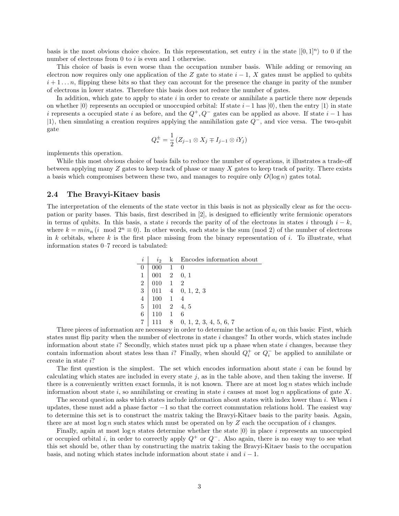basis is the most obvious choice choice. In this representation, set entry i in the state  $|[0,1]^n\rangle$  to 0 if the number of electrons from  $0$  to  $i$  is even and  $1$  otherwise.

This choice of basis is even worse than the occupation number basis. While adding or removing an electron now requires only one application of the Z gate to state  $i - 1$ , X gates must be applied to qubits  $i+1...n$ , flipping these bits so that they can account for the presence the change in parity of the number of electrons in lower states. Therefore this basis does not reduce the number of gates.

In addition, which gate to apply to state  $i$  in order to create or annihilate a particle there now depends on whether  $|0\rangle$  represents an occupied or unoccupied orbital: If state  $i-1$  has  $|0\rangle$ , then the entry  $|1\rangle$  in state i represents a occupied state i as before, and the  $Q^+, Q^-$  gates can be applied as above. If state  $i-1$  has  $|1\rangle$ , then simulating a creation requires applying the annihilation gate  $Q^-$ , and vice versa. The two-qubit gate

$$
Q_*^{\pm} = \frac{1}{2} \left( Z_{j-1} \otimes X_j \mp I_{j-1} \otimes iY_j \right)
$$

implements this operation.

While this most obvious choice of basis fails to reduce the number of operations, it illustrates a trade-off between applying many Z gates to keep track of phase or many X gates to keep track of parity. There exists a basis which compromises between these two, and manages to require only  $O(\log n)$  gates total.

### 2.4 The Bravyi-Kitaev basis

The interpretation of the elements of the state vector in this basis is not as physically clear as for the occupation or parity bases. This basis, first described in [2], is designed to efficiently write fermionic operators in terms of qubits. In this basis, a state i records the parity of of the electrons in states i through  $i - k$ , where  $k = min_n (i \mod 2^n \equiv 0)$ . In other words, each state is the sum (mod 2) of the number of electrons in k orbitals, where k is the first place missing from the binary representation of i. To illustrate, what information states 0–7 record is tabulated:

| $\dot{i}$                                            | $i_{2}$                  |   | k Encodes information about    |
|------------------------------------------------------|--------------------------|---|--------------------------------|
| 0                                                    | $000 \t 1$               |   | $\theta$                       |
|                                                      | $001 \quad 2 \quad 0, 1$ |   |                                |
|                                                      | $010\quad 1$             |   | $\overline{2}$                 |
| $\begin{array}{c} 1 \\ 2 \\ 3 \\ 4 \\ 5 \end{array}$ |                          |   | $011 \quad 4 \quad 0, 1, 2, 3$ |
|                                                      | $100 \quad 1$            |   |                                |
|                                                      | $101 \quad 2 \quad 4, 5$ |   |                                |
| $6\overline{6}$                                      | $110 - 1$                |   | -6                             |
| 7                                                    |                          | 8 | 0, 1, 2, 3, 4, 5, 6, 7         |

Three pieces of information are necessary in order to determine the action of  $a_i$  on this basis: First, which states must flip parity when the number of electrons in state  $i$  changes? In other words, which states include information about state i? Secondly, which states must pick up a phase when state i changes, because they contain information about states less than i? Finally, when should  $Q_i^+$  or  $Q_i^-$  be applied to annihilate or create in state i?

The first question is the simplest. The set which encodes information about state  $i$  can be found by calculating which states are included in every state  $j$ , as in the table above, and then taking the inverse. If there is a conveniently written exact formula, it is not known. There are at most  $\log n$  states which include information about state i, so annihilating or creating in state i causes at most  $\log n$  applications of gate X.

The second question asks which states include information about states with index lower than  $i$ . When  $i$ updates, these must add a phase factor  $-1$  so that the correct commutation relations hold. The easiest way to determine this set is to construct the matrix taking the Bravyi-Kitaev basis to the parity basis. Again, there are at most log n such states which must be operated on by  $Z$  each the occupation of i changes.

Finally, again at most log n states determine whether the state  $|0\rangle$  in place i represents an unoccupied or occupied orbital i, in order to correctly apply  $Q^+$  or  $Q^-$ . Also again, there is no easy way to see what this set should be, other than by constructing the matrix taking the Bravyi-Kitaev basis to the occupation basis, and noting which states include information about state i and  $i - 1$ .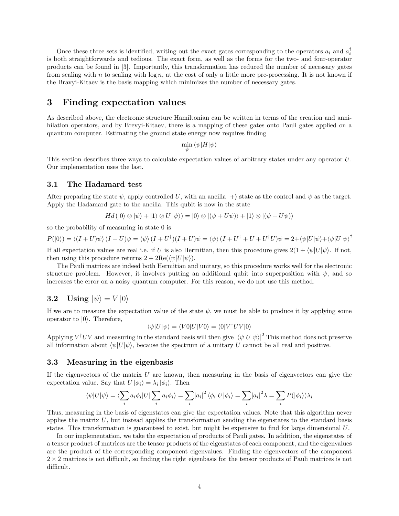Once these three sets is identified, writing out the exact gates corresponding to the operators  $a_i$  and  $a_i^{\dagger}$ is both straightforwards and tedious. The exact form, as well as the forms for the two- and four-operator products can be found in [3]. Importantly, this transformation has reduced the number of necessary gates from scaling with n to scaling with  $\log n$ , at the cost of only a little more pre-processing. It is not known if the Bravyi-Kitaev is the basis mapping which minimizes the number of necessary gates.

# 3 Finding expectation values

As described above, the electronic structure Hamiltonian can be written in terms of the creation and annihilation operators, and by Brevyi-Kitaev, there is a mapping of these gates onto Pauli gates applied on a quantum computer. Estimating the ground state energy now requires finding

$$
\min_{\psi} \left\langle \psi | H | \psi \right\rangle
$$

This section describes three ways to calculate expectation values of arbitrary states under any operator U. Our implementation uses the last.

### 3.1 The Hadamard test

After preparing the state  $\psi$ , apply controlled U, with an ancilla  $|+\rangle$  state as the control and  $\psi$  as the target. Apply the Hadamard gate to the ancilla. This qubit is now in the state

$$
Hd\left(\left|0\right\rangle \otimes \left|\psi\right\rangle + \left|1\right\rangle \otimes U\left|\psi\right\rangle\right) = \left|0\right\rangle \otimes \left|(\psi + U\psi)\right\rangle + \left|1\right\rangle \otimes \left|(\psi - U\psi)\right\rangle
$$

so the probability of measuring in state 0 is

$$
P(|0\rangle) = \langle (I+U)\psi \rangle (I+U)\psi = \langle \psi \rangle (I+U^{\dagger})(I+U)\psi = \langle \psi \rangle (I+U^{\dagger}+U+U^{\dagger}U)\psi = 2 + \langle \psi | U |\psi \rangle + \langle \psi | U |\psi \rangle^{\dagger}
$$

If all expectation values are real i.e. if U is also Hermitian, then this procedure gives  $2(1 + \langle \psi | U | \psi \rangle)$ . If not, then using this procedure returns  $2 + 2\text{Re}(\langle \psi | U | \psi \rangle)$ .

The Pauli matrices are indeed both Hermitian and unitary, so this procedure works well for the electronic structure problem. However, it involves putting an additional qubit into superposition with  $\psi$ , and so increases the error on a noisy quantum computer. For this reason, we do not use this method.

### 3.2 Using  $|\psi\rangle = V |0\rangle$

If we are to measure the expectation value of the state  $\psi$ , we must be able to produce it by applying some operator to  $|0\rangle$ . Therefore,

$$
\langle \psi | U | \psi \rangle = \langle V 0 | U | V 0 \rangle = \langle 0 | V^{\dagger} U V | 0 \rangle
$$

Applying  $V^{\dagger}UV$  and measuring in the standard basis will then give  $|\langle\psi|U|\psi\rangle|^2$  This method does not preserve all information about  $\langle \psi | U | \psi \rangle$ , because the spectrum of a unitary U cannot be all real and positive.

### 3.3 Measuring in the eigenbasis

If the eigenvectors of the matrix  $U$  are known, then measuring in the basis of eigenvectors can give the expectation value. Say that  $U |\phi_i\rangle = \lambda_i |\phi_i\rangle$ . Then

$$
\langle \psi | U | \psi \rangle = \langle \sum_i a_i \phi_i | U | \sum_i a_i \phi_i \rangle = \sum_i |a_i|^2 \langle \phi_i | U | \phi_i \rangle = \sum_i |a_i|^2 \lambda = \sum_i P(|\phi_i \rangle) \lambda_i
$$

Thus, measuring in the basis of eigenstates can give the expectation values. Note that this algorithm never applies the matrix  $U$ , but instead applies the transformation sending the eigenstates to the standard basis states. This transformation is guaranteed to exist, but might be expensive to find for large dimensional U.

In our implementation, we take the expectation of products of Pauli gates. In addition, the eigenstates of a tensor product of matrices are the tensor products of the eigenstates of each component, and the eigenvalues are the product of the corresponding component eigenvalues. Finding the eigenvectors of the component  $2 \times 2$  matrices is not difficult, so finding the right eigenbasis for the tensor products of Pauli matrices is not difficult.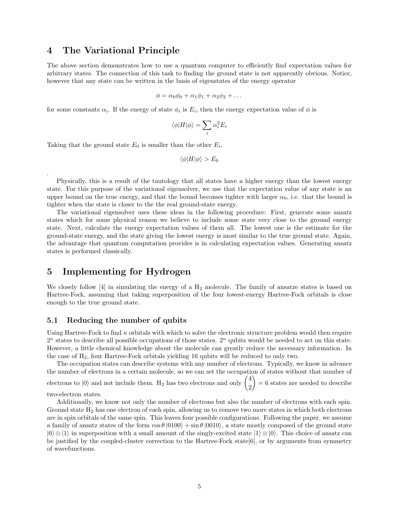## 4 The Variational Principle

The above section demonstrates how to use a quantum computer to efficiently find expectation values for arbitrary states. The connection of this task to finding the ground state is not apparently obvious. Notice, however that any state can be written in the basis of eigenstates of the energy operator

$$
\phi = \alpha_0 \phi_0 + \alpha_1 \phi_1 + \alpha_2 \phi_2 + \dots
$$

for some constants  $\alpha_i$ . If the energy of state  $\phi_i$  is  $E_i$ , then the energy expectation value of  $\phi$  is

$$
\langle \phi | H | \phi \rangle = \sum_i \alpha_i^2 E_i
$$

Taking that the ground state  $E_0$  is smaller than the other  $E_i$ ,

$$
\langle \phi | H | \phi \rangle > E_0
$$

Physically, this is a result of the tautology that all states have a higher energy than the lowest energy state. For this purpose of the variational eigensolver, we use that the expectation value of any state is an upper bound on the true energy, and that the bound becomes tighter with larger  $\alpha_0$ , i.e. that the bound is tighter when the state is closer to the the real ground-state energy.

The variational eigensolver uses these ideas in the following procedure: First, generate some ansatz states which for some physical reason we believe to include some state very close to the ground energy state. Next, calculate the energy expectation values of them all. The lowest one is the estimate for the ground-state energy, and the state giving the lowest energy is most similar to the true ground state. Again, the advantage that quantum computation provides is in calculating expectation values. Generating ansatz states is performed classically.

# 5 Implementing for Hydrogen

We closely follow [4] in simulating the energy of a  $H_2$  molecule. The family of ansatze states is based on Hartree-Fock, assuming that taking superposition of the four lowest-energy Hartree-Fock orbitals is close enough to the true ground state.

### 5.1 Reducing the number of qubits

Using Hartree-Fock to find n orbitals with which to solve the electronic structure problem would then require  $2<sup>n</sup>$  states to describe all possible occupations of those states.  $2<sup>n</sup>$  qubits would be needed to act on this state. However, a little chemical knowledge about the molecule can greatly reduce the necessary information. In the case of  $H_2$ , four Hartree-Fock orbitals yielding 16 qubits will be reduced to only two.

The occupation states can describe systems with any number of electrons. Typically, we know in advance the number of electrons in a certain molecule, so we can set the occupation of states without that number of electrons to  $|0\rangle$  and not include them. H<sub>2</sub> has two electrons and only  $\begin{pmatrix} 4 \\ 2 \end{pmatrix}$ 2  $= 6$  states are needed to describe

two-electron states.

.

Additionally, we know not only the number of electrons but also the number of electrons with each spin. Ground state  $H_2$  has one electron of each spin, allowing us to remove two more states in which both electrons are in spin orbitals of the same spin. This leaves four possible configurations. Following the paper, we assume a family of ansatz states of the form  $\cos \theta |0100\rangle + \sin \theta |0010\rangle$ , a state mostly composed of the ground state  $|0\rangle \otimes |1\rangle$  in superposition with a small amount of the singly-excited state  $|1\rangle \otimes |0\rangle$ . This choice of ansatz can be justified by the coupled-cluster correction to the Hartree-Fock state[6], or by arguments from symmetry of wavefunctions.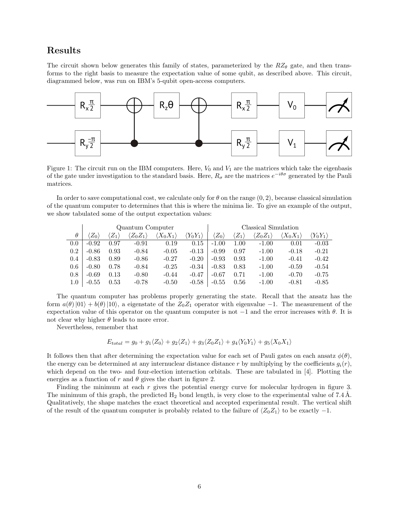# Results

The circuit shown below generates this family of states, parameterized by the  $RZ_{\theta}$  gate, and then transforms to the right basis to measure the expectation value of some qubit, as described above. This circuit, diagrammed below, was run on IBM's 5-qubit open-access computers.



Figure 1: The circuit run on the IBM computers. Here,  $V_0$  and  $V_1$  are the matrices which take the eigenbasis of the gate under investigation to the standard basis. Here,  $R_{\sigma}$  are the matrices  $e^{-i\theta\sigma}$  generated by the Pauli matrices.

In order to save computational cost, we calculate only for  $\theta$  on the range  $(0, 2)$ , because classical simulation of the quantum computer to determines that this is where the minima lie. To give an example of the output, we show tabulated some of the output expectation values:

|          | Quantum Computer |                       |                           |                           |                  | Classical Simulation |               |                          |                          |                          |
|----------|------------------|-----------------------|---------------------------|---------------------------|------------------|----------------------|---------------|--------------------------|--------------------------|--------------------------|
| $\theta$ | $Z_0$            | $\langle Z_1 \rangle$ | $\langle Z_0 Z_1 \rangle$ | $\langle X_0 X_1 \rangle$ | $ Y_0Y_1\rangle$ | $Z_0$                | $ Z_1\rangle$ | $\langle Z_0 Z_1\rangle$ | $\langle X_0 X_1\rangle$ | $\langle Y_0 Y_1\rangle$ |
| 0.0      | $-0.92$          | 0.97                  | $-0.91$                   | 0.19                      | 0.15             | $-1.00$              | 1.00          | $-1.00$                  | 0.01                     | $-0.03$                  |
| 0.2      | $-0.86$          | 0.93                  | $-0.84$                   | $-0.05$                   | $-0.13$          | $-0.99$              | 0.97          | $-1.00$                  | $-0.18$                  | $-0.21$                  |
| 0.4      | $-0.83$          | 0.89                  | $-0.86$                   | $-0.27$                   | $-0.20$          | $-0.93$              | 0.93          | $-1.00$                  | $-0.41$                  | $-0.42$                  |
| 0.6      | $-0.80$          | 0.78                  | $-0.84$                   | $-0.25$                   | $-0.34$          | $-0.83$              | 0.83          | $-1.00$                  | $-0.59$                  | $-0.54$                  |
| 0.8      | $-0.69$          | 0.13                  | $-0.80$                   | $-0.44$                   | $-0.47$          | $-0.67$              | 0.71          | $-1.00$                  | $-0.70$                  | $-0.75$                  |
| 1.0      | $-0.55$          | 0.53                  | $-0.78$                   | $-0.50$                   | $-0.58$          | $-0.55$              | 0.56          | $-1.00$                  | $-0.81$                  | $-0.85$                  |

The quantum computer has problems properly generating the state. Recall that the ansatz has the form  $a(\theta)|01\rangle + b(\theta)|10\rangle$ , a eigenstate of the  $Z_0Z_1$  operator with eigenvalue −1. The measurement of the expectation value of this operator on the quantum computer is not  $-1$  and the error increases with  $\theta$ . It is not clear why higher  $\theta$  leads to more error.

Nevertheless, remember that

$$
E_{total} = g_0 + g_1 \langle Z_0 \rangle + g_2 \langle Z_1 \rangle + g_3 \langle Z_0 Z_1 \rangle + g_4 \langle Y_0 Y_1 \rangle + g_5 \langle X_0 X_1 \rangle
$$

It follows then that after determining the expectation value for each set of Pauli gates on each ansatz  $\phi(\theta)$ , the energy can be determined at any internuclear distance distance r by multiplying by the coefficients  $g_i(r)$ , which depend on the two- and four-election interaction orbitals. These are tabulated in [4]. Plotting the energies as a function of r and  $\theta$  gives the chart in figure 2.

Finding the minimum at each r gives the potential energy curve for molecular hydrogen in figure 3. The minimum of this graph, the predicted  $H_2$  bond length, is very close to the experimental value of 7.4 Å. Qualitatively, the shape matches the exact theoretical and accepted experimental result. The vertical shift of the result of the quantum computer is probably related to the failure of  $\langle Z_0Z_1 \rangle$  to be exactly  $-1$ .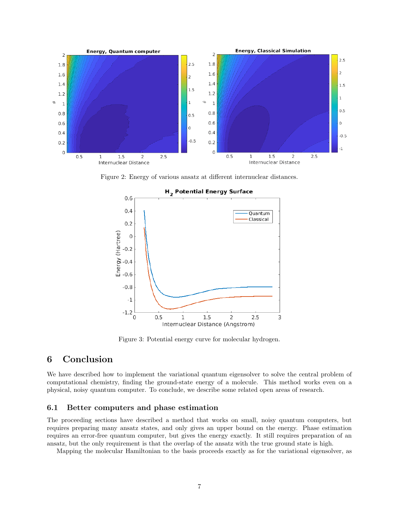

Figure 2: Energy of various ansatz at different internuclear distances.



### H<sub>2</sub> Potential Energy Surface

Figure 3: Potential energy curve for molecular hydrogen.

# 6 Conclusion

We have described how to implement the variational quantum eigensolver to solve the central problem of computational chemistry, finding the ground-state energy of a molecule. This method works even on a physical, noisy quantum computer. To conclude, we describe some related open areas of research.

### 6.1 Better computers and phase estimation

The proceeding sections have described a method that works on small, noisy quantum computers, but requires preparing many ansatz states, and only gives an upper bound on the energy. Phase estimation requires an error-free quantum computer, but gives the energy exactly. It still requires preparation of an ansatz, but the only requirement is that the overlap of the ansatz with the true ground state is high.

Mapping the molecular Hamiltonian to the basis proceeds exactly as for the variational eigensolver, as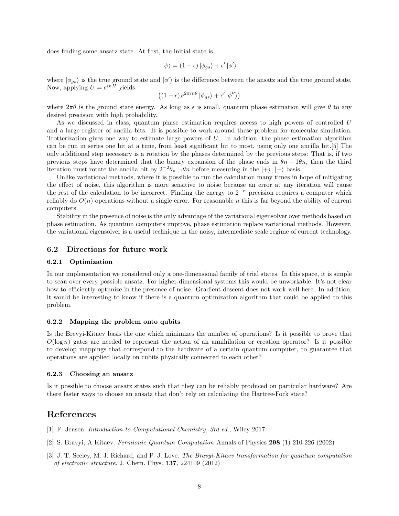does finding some ansatz state. At first, the initial state is

$$
\left| \psi \right\rangle = (1-\epsilon)\left| \phi_{gs} \right\rangle + \epsilon'\left| \phi' \right\rangle
$$

where  $|\phi_{gs}\rangle$  is the true ground state and  $|\phi'\rangle$  is the difference between the ansatz and the true ground state. Now, applying  $U = e^{inH}$  yields

$$
\left( \left( 1 - \epsilon \right) e^{2\pi i n \theta} \left| \phi_{gs} \right\rangle + \epsilon' \left| \phi'' \right\rangle \right)
$$

where  $2\pi\theta$  is the ground state energy. As long as  $\epsilon$  is small, quantum phase estimation will give  $\theta$  to any desired precision with high probability.

As we discussed in class, quantum phase estimation requires access to high powers of controlled U and a large register of ancilla bits. It is possible to work around these problem for molecular simulation: Trotterization gives one way to estimate large powers of U. In addition, the phase estimation algorithm can be run in series one bit at a time, from least significant bit to most, using only one ancilla bit.[5] The only additional step necessary is a rotation by the phases determined by the previous steps: That is, if two previous steps have determined that the binary expansion of the phase ends in  $\theta_n - 1\theta_n$ , then the third iteration must rotate the ancilla bit by  $2^{-2}\theta_{n-1}\theta_n$  before measuring in the  $|+\rangle, |-\rangle$  basis.

Unlike variational methods, where it is possible to run the calculation many times in hope of mitigating the effect of noise, this algorithm is more sensitive to noise because an error at any iteration will cause the rest of the calculation to be incorrect. Finding the energy to  $2^{-n}$  precision requires a computer which reliably do  $O(n)$  operations without a single error. For reasonable n this is far beyond the ability of current computers.

Stability in the presence of noise is the only advantage of the variational eigensolver over methods based on phase estimation. As quantum computers improve, phase estimation replace variational methods. However, the variational eigensolver is a useful technique in the noisy, intermediate scale regime of current technology.

### 6.2 Directions for future work

### 6.2.1 Optimization

In our implementation we considered only a one-dimensional family of trial states. In this space, it is simple to scan over every possible ansatz. For higher-dimensional systems this would be unworkable. It's not clear how to efficiently optimize in the presence of noise. Gradient descent does not work well here. In addition, it would be interesting to know if there is a quantum optimization algorithm that could be applied to this problem.

#### 6.2.2 Mapping the problem onto qubits

Is the Brevyi-Kitaev basis the one which minimizes the number of operations? Is it possible to prove that  $O(\log n)$  gates are needed to represent the action of an annihilation or creation operator? Is it possible to develop mappings that correspond to the hardware of a certain quantum computer, to guarantee that operations are applied locally on cubits physically connected to each other?

### 6.2.3 Choosing an ansatz

Is it possible to choose ansatz states such that they can be reliably produced on particular hardware? Are there faster ways to choose an ansatz that don't rely on calculating the Hartree-Fock state?

# References

- [1] F. Jensen; Introduction to Computational Chemistry, 3rd ed., Wiley 2017.
- [2] S. Bravyi, A Kitaev. Fermionic Quantum Computation Annals of Physics 298 (1) 210-226 (2002)
- [3] J. T. Seeley, M. J. Richard, and P. J. Love. The Bravyi-Kitaev transformation for quantum computation of electronic structure. J. Chem. Phys. 137, 224109 (2012)